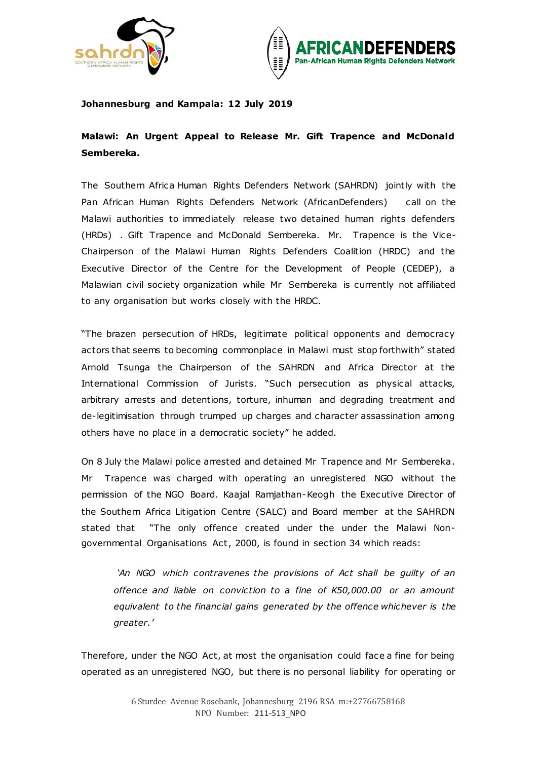



## **Johannesburg and Kampala: 12 July 2019**

## **Malawi: An Urgent Appeal to Release Mr. Gift Trapence and McDonald Sembereka.**

The Southern Africa Human Rights Defenders Network (SAHRDN) jointly with the Pan African Human Rights Defenders Network (AfricanDefenders) call on the Malawi authorities to immediately release two detained human rights defenders (HRDs) . Gift Trapence and McDonald Sembereka. Mr. Trapence is the Vice-Chairperson of the Malawi Human Rights Defenders Coalition (HRDC) and the Executive Director of the Centre for the Development of People (CEDEP), a Malawian civil society organization while Mr Sembereka is currently not affiliated to any organisation but works closely with the HRDC.

"The brazen persecution of HRDs, legitimate political opponents and democracy actors that seems to becoming commonplace in Malawi must stop forthwith" stated Arnold Tsunga the Chairperson of the SAHRDN and Africa Director at the International Commission of Jurists. "Such persecution as physical attacks, arbitrary arrests and detentions, torture, inhuman and degrading treatment and de-legitimisation through trumped up charges and character assassination among others have no place in a democratic society" he added.

On 8 July the Malawi police arrested and detained Mr Trapence and Mr Sembereka. Mr Trapence was charged with operating an unregistered NGO without the permission of the NGO Board. Kaajal Ramjathan-Keogh the Executive Director of the Southern Africa Litigation Centre (SALC) and Board member at the SAHRDN stated that "The only offence created under the under the Malawi Nongovernmental Organisations Act, 2000, is found in section 34 which reads:

*'An NGO which contravenes the provisions of Act shall be guilty of an offence and liable on conviction to a fine of K50,000.00 or an amount equivalent to the financial gains generated by the offence whichever is the greater.'*

Therefore, under the NGO Act, at most the organisation could face a fine for being operated as an unregistered NGO, but there is no personal liability for operating or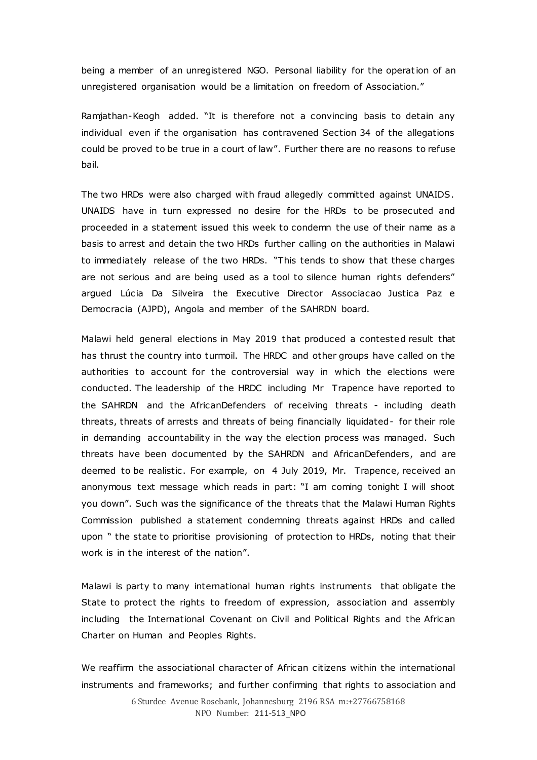being a member of an unregistered NGO. Personal liability for the operation of an unregistered organisation would be a limitation on freedom of Association."

Ramjathan-Keogh added. "It is therefore not a convincing basis to detain any individual even if the organisation has contravened Section 34 of the allegations could be proved to be true in a court of law". Further there are no reasons to refuse bail.

The two HRDs were also charged with fraud allegedly committed against UNAIDS. UNAIDS have in turn expressed no desire for the HRDs to be prosecuted and proceeded in a statement issued this week to condemn the use of their name as a basis to arrest and detain the two HRDs further calling on the authorities in Malawi to immediately release of the two HRDs. "This tends to show that these charges are not serious and are being used as a tool to silence human rights defenders" argued Lúcia Da Silveira the Executive Director Associacao Justica Paz e Democracia (AJPD), Angola and member of the SAHRDN board.

Malawi held general elections in May 2019 that produced a contested result that has thrust the country into turmoil. The HRDC and other groups have called on the authorities to account for the controversial way in which the elections were conducted. The leadership of the HRDC including Mr Trapence have reported to the SAHRDN and the AfricanDefenders of receiving threats - including death threats, threats of arrests and threats of being financially liquidated- for their role in demanding accountability in the way the election process was managed. Such threats have been documented by the SAHRDN and AfricanDefenders, and are deemed to be realistic. For example, on 4 July 2019, Mr. Trapence, received an anonymous text message which reads in part: "I am coming tonight I will shoot you down". Such was the significance of the threats that the Malawi Human Rights Commission published a statement condemning threats against HRDs and called upon " the state to prioritise provisioning of protection to HRDs, noting that their work is in the interest of the nation".

Malawi is party to many international human rights instruments that obligate the State to protect the rights to freedom of expression, association and assembly including the International Covenant on Civil and Political Rights and the African Charter on Human and Peoples Rights.

We reaffirm the associational character of African citizens within the international instruments and frameworks; and further confirming that rights to association and

> 6 Sturdee Avenue Rosebank, Johannesburg 2196 RSA m:+27766758168 NPO Number: 211-513\_NPO